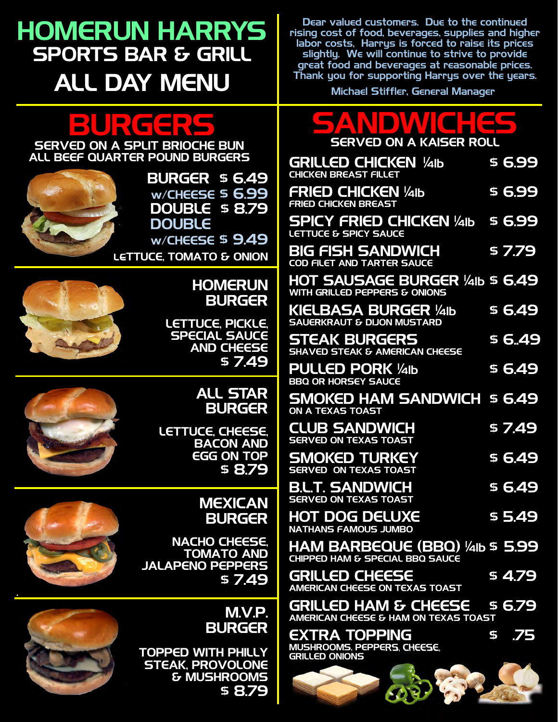## HOMERUN HARRYS SPORTS BAR & GRILL ALL DAY MENU

Dear valued customers. Due to the continued rising cost of food, beverages, supplies and higher labor costs, Harrys is forced to raise its prices slightly. We will continue to strive to provide great food and beverages at reasonable prices. Thank you for supporting Harrys over the years.

# BURGERS

SERVED ON A SPLIT BRIOCHE BUN ALL BEEF QUARTER POUND BURGERS



BURGER \$ 6.49 w/CHEESE \$ 6.99 DOUBLE \$ 8.79 **DOUBLE**  $w$ /CHEESE \$ 9.49

LETTUCE, TOMATO & ONION



#### **HOMERUN** BURGER

LETTUCE, PICKLE, SPECIAL SAUCE AND CHEESE \$ 7.49

#### ALL STAR BURGER

LETTUCE, CHEESE. BACON AND EGG ON TOP \$ 8.79

> MEXICAN BURGER

NACHO CHEESE. TOMATO AND JALAPENO PEPPERS \$ 7.49

#### M.V.P. BURGER

TOPPED WITH PHILLY STEAK, PROVOLONE & MUSHROOMS \$ 8.79

Michael Stiffler, General Manager

### SANDWICHES SERVED ON A KAISER ROLL

| GRILLED CHICKEN ¼1b<br><b>CHICKEN BREAST FILLET</b>                 | \$6.99    |
|---------------------------------------------------------------------|-----------|
| <b>FRIED CHICKEN 1/41b</b><br><b>FRIED CHICKEN BREAST</b>           | \$6.99    |
| <b>SPICY FRIED CHICKEN 1/41b \$ 6.99</b><br>LETTUCE & SPICY SAUCE   |           |
| <b>BIG FISH SANDWICH</b><br><b>COD FILET AND TARTER SAUCE</b>       | \$7.79    |
| HOT SAUSAGE BURGER ¼1b \$ 6.49<br>WITH GRILLED PEPPERS & ONIONS     |           |
| KIELBASA BURGER ¼1b<br><b>SAUERKRAUT &amp; DIJON MUSTARD</b>        | \$6.49    |
| <b>STEAK BURGERS</b><br><b>SHAVED STEAK &amp; AMERICAN CHEESE</b>   | \$6.49    |
| <b>PULLED PORK 1/41b</b><br><b>BBQ OR HORSEY SAUCE</b>              | \$6.49    |
| <b>SMOKED HAM SANDWICH \$ 6,49</b><br><b>ON A TEXAS TOAST</b>       |           |
| <b>CLUB SANDWICH</b><br><b>SERVED ON TEXAS TOAST</b>                | \$7.49    |
| <b>SMOKED TURKEY</b><br><b>SERVED ON TEXAS TOAST</b>                | \$6.49    |
| <b>B.L.T. SANDWICH</b><br><b>SERVED ON TEXAS TOAST</b>              | \$6.49    |
| HOT DOG DELUXE<br><b>NATHANS FAMOUS JUMBO</b>                       | \$5.49    |
| HAM BARBEQUE (BBQ) ¼lb \$ 5.99<br>CHIPPED HAM & SPECIAL BBQ SAUCE   |           |
| <b>GRILLED CHEESE</b><br>AMERICAN CHEESE ON TEXAS TOAST             | \$ 4.79   |
| GRILLED HAM & CHEESE \$6.79<br>AMERICAN CHEESE & HAM ON TEXAS TOAST |           |
| <b>EXTRA TOPPING</b><br><b>MUSHROOMS, PEPPERS, CHEESE,</b>          | \$<br>.75 |



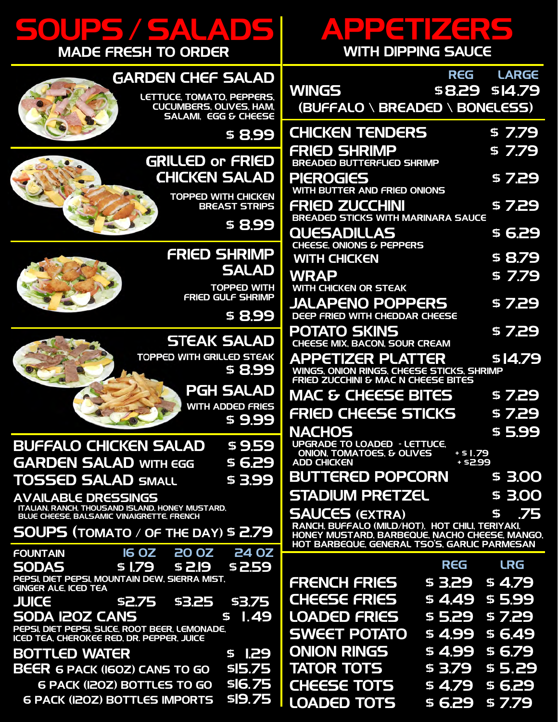## SOUPS / SALADS MADE FRESH TO ORDER



#### GARDEN CHEF SALAD

 LETTUCE, TOMATO, PEPPERS, CUCUMBERS, OLIVES, HAM, SALAMI, EGG & CHEESE

\$ 8.99

### GRILLED or FRIED CHICKEN SALAD

TOPPED WITH CHICKEN BREAST STRIPS

FRIED SHRIMP

\$ 8.99

**SALAD** TOPPED WITH



FRIED GULF SHRIMP \$ 8.99 STEAK SALAD

 TOPPED WITH GRILLED STEAK \$ 8.99

> PGH SALAD WITH ADDED FRIES \$ 9.99

### BUFFALO CHICKEN SALAD \$ 9.59 GARDEN SALAD WITH EGG \$ 6.29

TOSSED SALAD SMALL \$ 3.99

#### AVAILABLE DRESSINGS

 ITALIAN, RANCH, THOUSAND ISLAND, HONEY MUSTARD, BLUE CHEESE, BALSAMIC VINAIGRETTE, FRENCH

SOUPS (TOMATO / OF THE DAY) \$ 2.79

| <b>FOUNTAIN</b>                                                                             | 16 0Z 20 0Z 24 0Z    |                |
|---------------------------------------------------------------------------------------------|----------------------|----------------|
| <b>SODAS</b>                                                                                | \$1.79 \$2.19 \$2.59 |                |
| PEPSI, DIET PEPSI, MOUNTAIN DEW, SIERRA MIST,<br><b>GINGER ALE, ICED TEA</b>                |                      |                |
| <b>JUICE</b>                                                                                | \$2.75 \$3.25 \$3.75 |                |
| <b>SODA IZOZ CANS</b>                                                                       |                      | 51.49          |
| PEPSI, DIET PEPSI, SLICE, ROOT BEER, LEMONADE,<br>ICED TEA, CHEROKEE RED, DR. PEPPER, JUICE |                      |                |
| <b>BOTTLED WATER</b>                                                                        |                      | <b>\$1.29</b>  |
| <b>BEER 6 PACK (IGOZ) CANS TO GO</b>                                                        |                      | \$15.75        |
| <b>6 PACK (I20Z) BOTTLES TO GO</b>                                                          |                      | <b>\$16.75</b> |

6 PACK (12OZ) BOTTLES IMPORTS \$19. 75

# I PIETITI ZERS

| WITH DIPPING SAUCE                                                                            |                                                                                                                                                                                                                                                                      |  |  |
|-----------------------------------------------------------------------------------------------|----------------------------------------------------------------------------------------------------------------------------------------------------------------------------------------------------------------------------------------------------------------------|--|--|
|                                                                                               | REG LARGE                                                                                                                                                                                                                                                            |  |  |
|                                                                                               |                                                                                                                                                                                                                                                                      |  |  |
|                                                                                               |                                                                                                                                                                                                                                                                      |  |  |
| <b>CHICKEN TENDERS</b>                                                                        | \$7.79                                                                                                                                                                                                                                                               |  |  |
| <b>BREADED BUTTERFLIED SHRIMP</b>                                                             | \$7.79                                                                                                                                                                                                                                                               |  |  |
| WITH BUTTER AND FRIED ONIONS                                                                  | \$7.29                                                                                                                                                                                                                                                               |  |  |
| <b>BREADED STICKS WITH MARINARA SAUCE</b>                                                     | \$7.29                                                                                                                                                                                                                                                               |  |  |
|                                                                                               | \$ 6.29                                                                                                                                                                                                                                                              |  |  |
|                                                                                               | \$8.79                                                                                                                                                                                                                                                               |  |  |
|                                                                                               | \$7.79                                                                                                                                                                                                                                                               |  |  |
| JALAPENO POPPERS<br>DEEP FRIED WITH CHEDDAR CHEESE                                            | \$7.29                                                                                                                                                                                                                                                               |  |  |
| <b>CHEESE MIX, BACON, SOUR CREAM</b>                                                          | \$7.29                                                                                                                                                                                                                                                               |  |  |
| APPETIZER PLATTER                                                                             | \$14.79                                                                                                                                                                                                                                                              |  |  |
| MAC & CHEESE BITES                                                                            | \$7.29                                                                                                                                                                                                                                                               |  |  |
| FRIED CHEESE STICKS                                                                           | \$7.29                                                                                                                                                                                                                                                               |  |  |
|                                                                                               | \$5.99                                                                                                                                                                                                                                                               |  |  |
| ONION. TOMATOES. & OLIVES<br>$+51.79$<br>+ \$2.99                                             |                                                                                                                                                                                                                                                                      |  |  |
| BUTTERED POPCORN                                                                              | \$ 3.00                                                                                                                                                                                                                                                              |  |  |
| STADIUM PRETZEL                                                                               | \$3.00                                                                                                                                                                                                                                                               |  |  |
|                                                                                               | .75<br>\$                                                                                                                                                                                                                                                            |  |  |
| HONEY MUSTARD, BARBEQUE, NACHO CHEESE, MANGO,<br>HOT BARBEQUE, GENERAL TSO'S, GARLIC PARMESAN |                                                                                                                                                                                                                                                                      |  |  |
| REG                                                                                           | <b>LRG</b>                                                                                                                                                                                                                                                           |  |  |
|                                                                                               | \$4.79                                                                                                                                                                                                                                                               |  |  |
| \$4.49                                                                                        | \$5.99                                                                                                                                                                                                                                                               |  |  |
| \$5.29                                                                                        | \$7.29                                                                                                                                                                                                                                                               |  |  |
| \$ 4.99                                                                                       | \$6.49                                                                                                                                                                                                                                                               |  |  |
| 99.4 \$                                                                                       | \$ 6.79                                                                                                                                                                                                                                                              |  |  |
|                                                                                               | \$8.29 \$14.79<br>(BUFFALO \ BREADED \ BONELESS)<br>CHEESE, ONIONS & PEPPERS<br>WINGS, ONION RINGS, CHEESE STICKS, SHRIMP<br>FRIED ZUCCHINI & MAC N CHEESE BITES<br><b>UPGRADE TO LOADED - LETTUCE,</b><br>RANCH, BUFFALO (MILD/HOT), HOT CHILI, TERIYAKI,<br>\$3.29 |  |  |

TATOR TOTS \$3.79 \$5.29 CHEESE TOTS \$4.79 \$6.29 LOADED TOTS \$ 6.29 \$ 7.79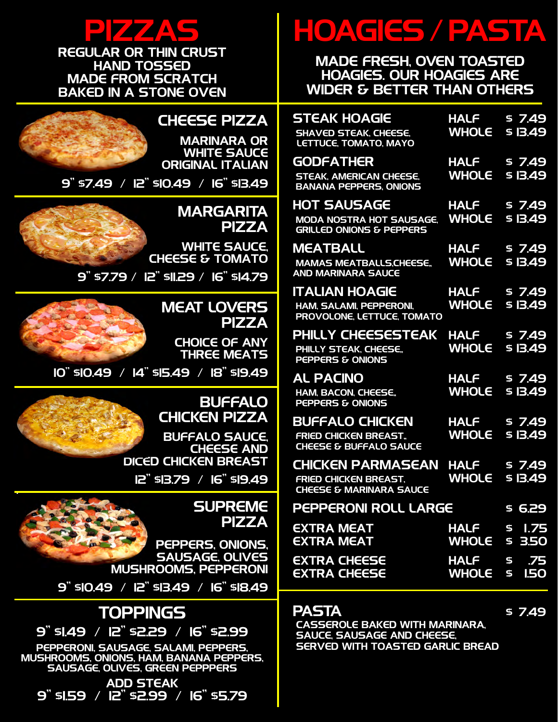

REGULAR OR THIN CRUST HAND TOSSED MADE FROM SCRATCH BAKED IN A STONE OVEN



.

#### CHEESE PIZZA

MARINARA OR WHITE SAUCE ORIGINAL ITALIAN

9" \$7.49 / 12" \$10.49 / 16" \$13.49

#### **MARGARITA** PIZZA

 WHITE SAUCE, CHEESE & TOMATO

9" \$7.79 / 12" \$11.29 / 16" \$14.79

### MEAT LOVERS PIZZA

CHOICE OF ANY THREE MEATS

10" \$10.49 / 14" \$15.49 / 18" \$19.49

#### BUFFALO CHICKEN PIZZA

 BUFFALO SAUCE, **CHEESE AND** DICED CHICKEN BREAST

12" \$13.79 / 16" \$19.49

#### **SUPREME** PIZZA

 PEPPERS, ONIONS, SAUSAGE, OLIVES MUSHROOMS, PEPPERONI

9" \$10.49 / 12" \$13.49 / 16" \$18.49

### TOPPINGS

9" \$1.49 / 12" \$2.29 / 16" \$2.99

PEPPERONI, SAUSAGE, SALAMI, PEPPERS, MUSHROOMS, ONIONS, HAM, BANANA PEPPERS, SAUSAGE, OLIVES, GREEN PEPPPERS

ADD STEAK 9" \$1.59 / 12" \$2.99 / 16" \$5.79

# HOAGIES / PASTA

#### MADE FRESH, OVEN TOASTED HOAGIES. OUR HOAGIES ARE WIDER & BETTER THAN OTHERS

| <b>STEAK HOAGIE</b><br><b>SHAVED STEAK, CHEESE,</b><br><b>LETTUCE, TOMATO, MAYO</b>            | <b>HALF</b><br><b>WHOLE</b> | \$7.49<br>\$IB.49               |
|------------------------------------------------------------------------------------------------|-----------------------------|---------------------------------|
| <b>GODFATHER</b><br><b>STEAK, AMERICAN CHEESE.</b><br><b>BANANA PEPPERS, ONIONS</b>            | <b>HALF</b><br><b>WHOLE</b> | \$7.49<br><u>s 13.49</u>        |
| <b>HOT SAUSAGE</b><br><b>MODA NOSTRA HOT SAUSAGE.</b><br><b>GRILLED ONIONS &amp; PEPPERS</b>   | <b>HALF</b><br><b>WHOLE</b> | \$7.49<br>\$ 13.49              |
| <b>MEATBALL</b><br><b>MAMAS MEATBALLS, CHEESE,</b><br><b>AND MARINARA SAUCE</b>                | <b>HALF</b><br><b>WHOLE</b> | \$7.49<br>\$13.49               |
| <b>ITALIAN HOAGIE</b><br><b>HAM, SALAMI, PEPPERONI,</b><br>PROVOLONE, LETTUCE, TOMATO          | <b>HALF</b><br><b>WHOLE</b> | \$7.49<br>\$ 13.49              |
| PHILLY CHEESESTEAK<br>PHILLY STEAK, CHEESE,<br>PEPPERS & ONIONS                                | <b>HALF</b><br><b>WHOLE</b> | \$7.49<br><b>\$13.49</b>        |
| <b>AL PACINO</b><br><b>HAM, BACON, CHEESE.,</b><br><b>PEPPERS &amp; ONIONS</b>                 | <b>HALF</b><br><b>WHOLE</b> | \$7.49<br><u>s 13.49</u>        |
| <b>BUFFALO CHICKEN</b><br><b>FRIED CHICKEN BREAST.</b><br><b>CHEESE &amp; BUFFALO SAUCE</b>    | <b>HALF</b><br><b>WHOLE</b> | \$7.49<br><b>\$13.49</b>        |
| <b>CHICKEN PARMASEAN</b><br><b>FRIED CHICKEN BREAST,</b><br><b>CHEESE &amp; MARINARA SAUCE</b> | <b>HALF</b><br><b>WHOLE</b> | \$7.49<br>\$ 13.49              |
| <b>PEPPERONI ROLL LARGE</b>                                                                    |                             | 6.29<br>\$                      |
| EXTRA MEAT<br><b>EXTRA MEAT</b>                                                                | <b>HALF</b><br><b>WHOLE</b> | 1.75<br>\$<br><b>3.50</b><br>\$ |
| <b>EXTRA CHEESE</b><br><b>EXTRA CHEESE</b>                                                     | <b>HALF</b><br><b>WHOLE</b> | .75<br>\$<br><b>I.50</b><br>5   |

#### **PASTA** \$ 7.49

 CASSEROLE BAKED WITH MARINARA, SAUCE, SAUSAGE AND CHEESE, SERVED WITH TOASTED GARLIC BREAD